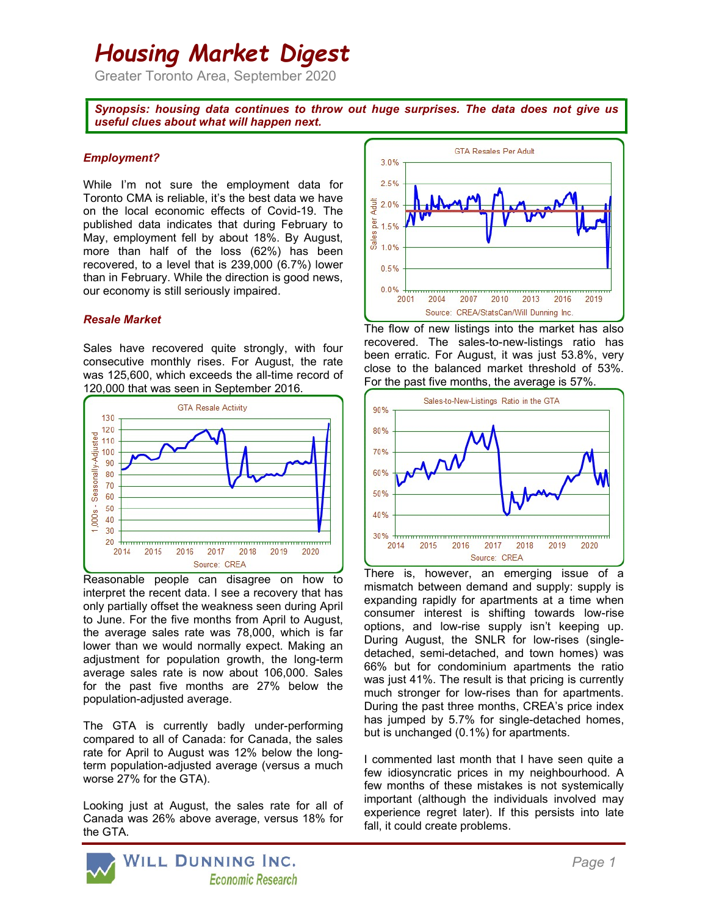# Housing Market Digest

Greater Toronto Area, September 2020

Synopsis: housing data continues to throw out huge surprises. The data does not give us useful clues about what will happen next.

## Employment?

While I'm not sure the employment data for Toronto CMA is reliable, it's the best data we have on the local economic effects of Covid-19. The published data indicates that during February to May, employment fell by about 18%. By August, more than half of the loss (62%) has been recovered, to a level that is 239,000 (6.7%) lower than in February. While the direction is good news, our economy is still seriously impaired.

### Resale Market

Sales have recovered quite strongly, with four consecutive monthly rises. For August, the rate was 125,600, which exceeds the all-time record of 120,000 that was seen in September 2016.



Reasonable people can disagree on how to interpret the recent data. I see a recovery that has only partially offset the weakness seen during April to June. For the five months from April to August, the average sales rate was 78,000, which is far lower than we would normally expect. Making an adjustment for population growth, the long-term average sales rate is now about 106,000. Sales for the past five months are 27% below the population-adjusted average.

The GTA is currently badly under-performing compared to all of Canada: for Canada, the sales rate for April to August was 12% below the longterm population-adjusted average (versus a much worse 27% for the GTA).

Looking just at August, the sales rate for all of Canada was 26% above average, versus 18% for the GTA.



The flow of new listings into the market has also recovered. The sales-to-new-listings ratio has been erratic. For August, it was just 53.8%, very close to the balanced market threshold of 53%. For the past five months, the average is 57%.



There is, however, an emerging issue of a mismatch between demand and supply: supply is expanding rapidly for apartments at a time when consumer interest is shifting towards low-rise options, and low-rise supply isn't keeping up. During August, the SNLR for low-rises (singledetached, semi-detached, and town homes) was 66% but for condominium apartments the ratio was just 41%. The result is that pricing is currently much stronger for low-rises than for apartments. During the past three months, CREA's price index has jumped by 5.7% for single-detached homes, but is unchanged (0.1%) for apartments.

I commented last month that I have seen quite a few idiosyncratic prices in my neighbourhood. A few months of these mistakes is not systemically important (although the individuals involved may experience regret later). If this persists into late fall, it could create problems.